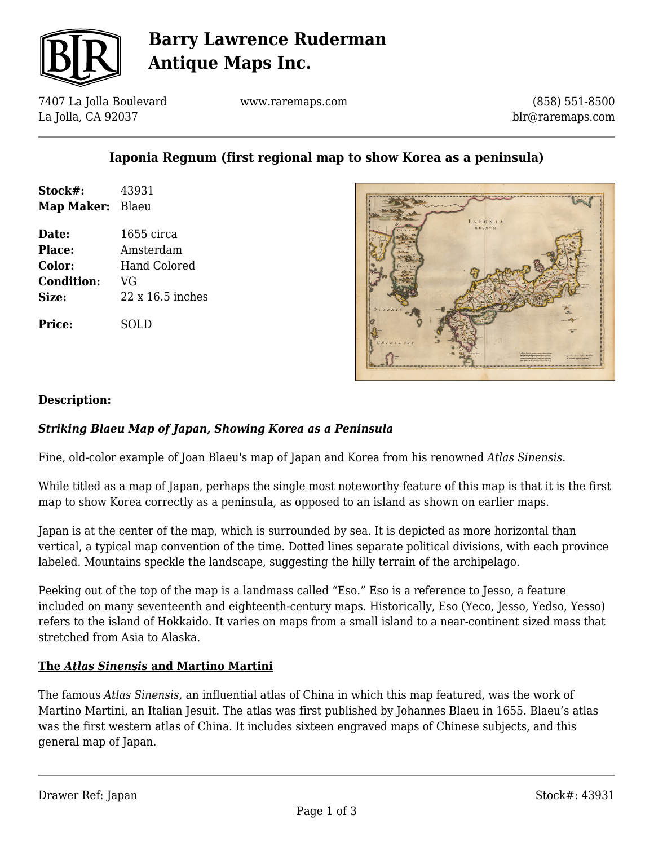

## **Barry Lawrence Ruderman Antique Maps Inc.**

7407 La Jolla Boulevard La Jolla, CA 92037

www.raremaps.com

(858) 551-8500 blr@raremaps.com

## **Iaponia Regnum (first regional map to show Korea as a peninsula)**

| Stock#:    | 43931 |
|------------|-------|
| Map Maker: | Blaeu |

**Date:** 1655 circa **Place:** Amsterdam **Color:** Hand Colored **Condition:** VG **Size:** 22 x 16.5 inches

**Price:** SOLD



#### **Description:**

### *Striking Blaeu Map of Japan, Showing Korea as a Peninsula*

Fine, old-color example of Joan Blaeu's map of Japan and Korea from his renowned *Atlas Sinensis*.

While titled as a map of Japan, perhaps the single most noteworthy feature of this map is that it is the first map to show Korea correctly as a peninsula, as opposed to an island as shown on earlier maps.

Japan is at the center of the map, which is surrounded by sea. It is depicted as more horizontal than vertical, a typical map convention of the time. Dotted lines separate political divisions, with each province labeled. Mountains speckle the landscape, suggesting the hilly terrain of the archipelago.

Peeking out of the top of the map is a landmass called "Eso." Eso is a reference to Jesso, a feature included on many seventeenth and eighteenth-century maps. Historically, Eso (Yeco, Jesso, Yedso, Yesso) refers to the island of Hokkaido. It varies on maps from a small island to a near-continent sized mass that stretched from Asia to Alaska.

#### **The** *Atlas Sinensis* **and Martino Martini**

The famous *Atlas Sinensis*, an influential atlas of China in which this map featured, was the work of Martino Martini, an Italian Jesuit. The atlas was first published by Johannes Blaeu in 1655. Blaeu's atlas was the first western atlas of China. It includes sixteen engraved maps of Chinese subjects, and this general map of Japan.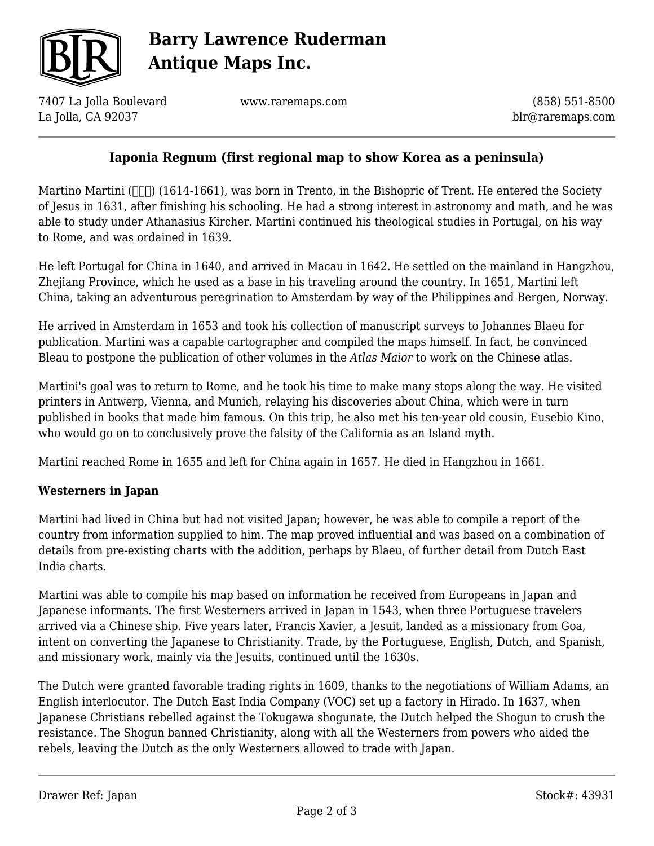

# **Barry Lawrence Ruderman Antique Maps Inc.**

7407 La Jolla Boulevard La Jolla, CA 92037

www.raremaps.com

(858) 551-8500 blr@raremaps.com

### **Iaponia Regnum (first regional map to show Korea as a peninsula)**

Martino Martini ( $\Box$ ) (1614-1661), was born in Trento, in the Bishopric of Trent. He entered the Society of Jesus in 1631, after finishing his schooling. He had a strong interest in astronomy and math, and he was able to study under Athanasius Kircher. Martini continued his theological studies in Portugal, on his way to Rome, and was ordained in 1639.

He left Portugal for China in 1640, and arrived in Macau in 1642. He settled on the mainland in Hangzhou, Zhejiang Province, which he used as a base in his traveling around the country. In 1651, Martini left China, taking an adventurous peregrination to Amsterdam by way of the Philippines and Bergen, Norway.

He arrived in Amsterdam in 1653 and took his collection of manuscript surveys to Johannes Blaeu for publication. Martini was a capable cartographer and compiled the maps himself. In fact, he convinced Bleau to postpone the publication of other volumes in the *Atlas Maior* to work on the Chinese atlas.

Martini's goal was to return to Rome, and he took his time to make many stops along the way. He visited printers in Antwerp, Vienna, and Munich, relaying his discoveries about China, which were in turn published in books that made him famous. On this trip, he also met his ten-year old cousin, Eusebio Kino, who would go on to conclusively prove the falsity of the California as an Island myth.

Martini reached Rome in 1655 and left for China again in 1657. He died in Hangzhou in 1661.

#### **Westerners in Japan**

Martini had lived in China but had not visited Japan; however, he was able to compile a report of the country from information supplied to him. The map proved influential and was based on a combination of details from pre-existing charts with the addition, perhaps by Blaeu, of further detail from Dutch East India charts.

Martini was able to compile his map based on information he received from Europeans in Japan and Japanese informants. The first Westerners arrived in Japan in 1543, when three Portuguese travelers arrived via a Chinese ship. Five years later, Francis Xavier, a Jesuit, landed as a missionary from Goa, intent on converting the Japanese to Christianity. Trade, by the Portuguese, English, Dutch, and Spanish, and missionary work, mainly via the Jesuits, continued until the 1630s.

The Dutch were granted favorable trading rights in 1609, thanks to the negotiations of William Adams, an English interlocutor. The Dutch East India Company (VOC) set up a factory in Hirado. In 1637, when Japanese Christians rebelled against the Tokugawa shogunate, the Dutch helped the Shogun to crush the resistance. The Shogun banned Christianity, along with all the Westerners from powers who aided the rebels, leaving the Dutch as the only Westerners allowed to trade with Japan.